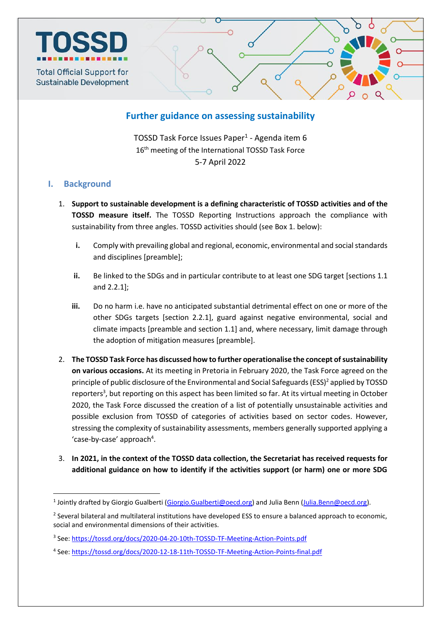

# **Further guidance on assessing sustainability**

TOSSD Task Force Issues Paper<sup>1</sup> - Agenda item 6 16<sup>th</sup> meeting of the International TOSSD Task Force 5-7 April 2022

## **I. Background**

1

- 1. **Support to sustainable development is a defining characteristic of TOSSD activities and of the TOSSD measure itself.** The TOSSD Reporting Instructions approach the compliance with sustainability from three angles. TOSSD activities should (see Box 1. below):
	- **i.** Comply with prevailing global and regional, economic, environmental and social standards and disciplines [preamble];
	- **ii.** Be linked to the SDGs and in particular contribute to at least one SDG target [sections 1.1 and 2.2.1];
	- **iii.** Do no harm i.e. have no anticipated substantial detrimental effect on one or more of the other SDGs targets [section 2.2.1], guard against negative environmental, social and climate impacts [preamble and section 1.1] and, where necessary, limit damage through the adoption of mitigation measures [preamble].
- 2. **The TOSSD Task Force has discussed how to further operationalise the concept of sustainability on various occasions.** At its meeting in Pretoria in February 2020, the Task Force agreed on the principle of public disclosure of the Environmental and Social Safeguards (ESS)<sup>2</sup> applied by TOSSD reporters<sup>3</sup>, but reporting on this aspect has been limited so far. At its virtual meeting in October 2020, the Task Force discussed the creation of a list of potentially unsustainable activities and possible exclusion from TOSSD of categories of activities based on sector codes. However, stressing the complexity of sustainability assessments, members generally supported applying a 'case-by-case' approach<sup>4</sup>.
- 3. **In 2021, in the context of the TOSSD data collection, the Secretariat has received requests for additional guidance on how to identify if the activities support (or harm) one or more SDG**

<sup>&</sup>lt;sup>1</sup> Jointly drafted by Giorgio Gualberti [\(Giorgio.Gualberti@oecd.org\)](mailto:Giorgio.Gualberti@oecd.org) and Julia Benn [\(Julia.Benn@oecd.org\)](mailto:Julia.Benn@oecd.org).

<sup>&</sup>lt;sup>2</sup> Several bilateral and multilateral institutions have developed ESS to ensure a balanced approach to economic, social and environmental dimensions of their activities.

<sup>&</sup>lt;sup>3</sup> See: <u>https://tossd.org/docs/2020-04-20-10th-TOSSD-TF-Meeting-Action-Points.pdf</u>

<sup>&</sup>lt;sup>4</sup> See:<https://tossd.org/docs/2020-12-18-11th-TOSSD-TF-Meeting-Action-Points-final.pdf>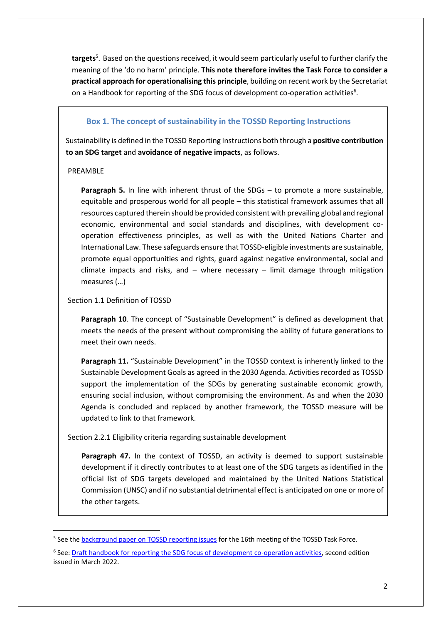**targets**<sup>5</sup> . Based on the questions received, it would seem particularly useful to further clarify the meaning of the 'do no harm' principle. **This note therefore invites the Task Force to consider a practical approach for operationalising this principle**, building on recent work by the Secretariat on a Handbook for reporting of the SDG focus of development co-operation activities<sup>6</sup>.

### **Box 1. The concept of sustainability in the TOSSD Reporting Instructions**

Sustainability is defined in the TOSSD Reporting Instructions both through a **positive contribution to an SDG target** and **avoidance of negative impacts**, as follows.

#### PREAMBLE

**.** 

**Paragraph 5.** In line with inherent thrust of the SDGs – to promote a more sustainable, equitable and prosperous world for all people – this statistical framework assumes that all resources captured therein should be provided consistent with prevailing global and regional economic, environmental and social standards and disciplines, with development cooperation effectiveness principles, as well as with the United Nations Charter and International Law. These safeguards ensure that TOSSD-eligible investments are sustainable, promote equal opportunities and rights, guard against negative environmental, social and climate impacts and risks, and  $-$  where necessary  $-$  limit damage through mitigation measures (…)

#### Section 1.1 Definition of TOSSD

**Paragraph 10**. The concept of "Sustainable Development" is defined as development that meets the needs of the present without compromising the ability of future generations to meet their own needs.

Paragraph 11. "Sustainable Development" in the TOSSD context is inherently linked to the Sustainable Development Goals as agreed in the 2030 Agenda. Activities recorded as TOSSD support the implementation of the SDGs by generating sustainable economic growth, ensuring social inclusion, without compromising the environment. As and when the 2030 Agenda is concluded and replaced by another framework, the TOSSD measure will be updated to link to that framework.

Section 2.2.1 Eligibility criteria regarding sustainable development

**Paragraph 47.** In the context of TOSSD, an activity is deemed to support sustainable development if it directly contributes to at least one of the SDG targets as identified in the official list of SDG targets developed and maintained by the United Nations Statistical Commission (UNSC) and if no substantial detrimental effect is anticipated on one or more of the other targets.

<sup>&</sup>lt;sup>5</sup> See the **background paper on TOSSD reporting issues** for the 16th meeting of the TOSSD Task Force.

<sup>&</sup>lt;sup>6</sup> See: **Draft handbook for reporting the SDG focus of development co-operation activities</u>, second edition** issued in March 2022.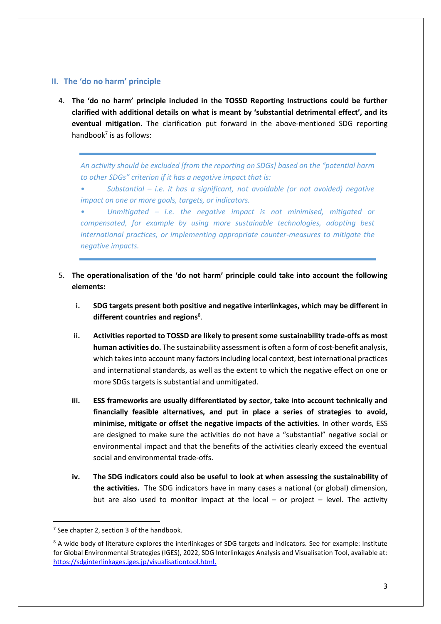#### **II. The 'do no harm' principle**

4. **The 'do no harm' principle included in the TOSSD Reporting Instructions could be further clarified with additional details on what is meant by 'substantial detrimental effect', and its eventual mitigation.** The clarification put forward in the above-mentioned SDG reporting handbook $<sup>7</sup>$  is as follows:</sup>

*An activity should be excluded [from the reporting on SDGs] based on the "potential harm to other SDGs" criterion if it has a negative impact that is:*

*• Substantial – i.e. it has a significant, not avoidable (or not avoided) negative impact on one or more goals, targets, or indicators.*

*• Unmitigated – i.e. the negative impact is not minimised, mitigated or compensated, for example by using more sustainable technologies, adopting best international practices, or implementing appropriate counter-measures to mitigate the negative impacts.*

- 5. **The operationalisation of the 'do not harm' principle could take into account the following elements:** 
	- **i. SDG targets present both positive and negative interlinkages, which may be different in**  different countries and regions<sup>8</sup>.
	- **ii. Activities reported to TOSSD are likely to present some sustainability trade-offs as most human activities do.** The sustainability assessment is often a form of cost-benefit analysis, which takesinto account many factors including local context, best international practices and international standards, as well as the extent to which the negative effect on one or more SDGs targets is substantial and unmitigated.
	- **iii. ESS frameworks are usually differentiated by sector, take into account technically and financially feasible alternatives, and put in place a series of strategies to avoid, minimise, mitigate or offset the negative impacts of the activities.** In other words, ESS are designed to make sure the activities do not have a "substantial" negative social or environmental impact and that the benefits of the activities clearly exceed the eventual social and environmental trade-offs.
	- **iv. The SDG indicators could also be useful to look at when assessing the sustainability of the activities.** The SDG indicators have in many cases a national (or global) dimension, but are also used to monitor impact at the local – or project – level. The activity

**.** 

 $7$  See chapter 2, section 3 of the handbook.

<sup>&</sup>lt;sup>8</sup> A wide body of literature explores the interlinkages of SDG targets and indicators. See for example: Institute for Global Environmental Strategies (IGES), 2022, SDG Interlinkages Analysis and Visualisation Tool, available at: [https://sdginterlinkages.iges.jp/visualisationtool.html.](https://sdginterlinkages.iges.jp/visualisationtool.html)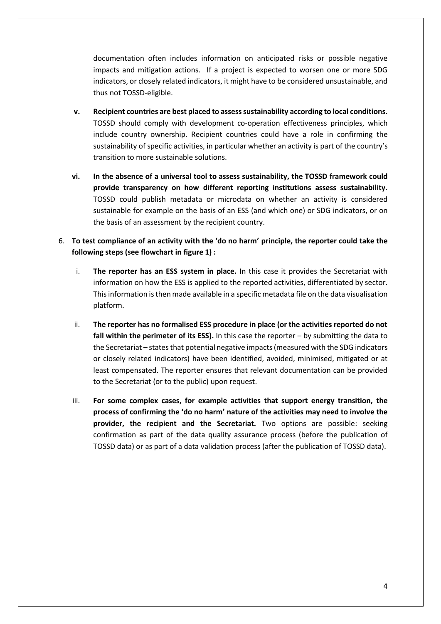documentation often includes information on anticipated risks or possible negative impacts and mitigation actions. If a project is expected to worsen one or more SDG indicators, or closely related indicators, it might have to be considered unsustainable, and thus not TOSSD-eligible.

- **v. Recipient countries are best placed to assess sustainability according to local conditions.**  TOSSD should comply with development co-operation effectiveness principles, which include country ownership. Recipient countries could have a role in confirming the sustainability of specific activities, in particular whether an activity is part of the country's transition to more sustainable solutions.
- **vi. In the absence of a universal tool to assess sustainability, the TOSSD framework could provide transparency on how different reporting institutions assess sustainability.**  TOSSD could publish metadata or microdata on whether an activity is considered sustainable for example on the basis of an ESS (and which one) or SDG indicators, or on the basis of an assessment by the recipient country.
- 6. **To test compliance of an activity with the 'do no harm' principle, the reporter could take the following steps (see flowchart in figure 1) :** 
	- i. **The reporter has an ESS system in place.** In this case it provides the Secretariat with information on how the ESS is applied to the reported activities, differentiated by sector. This information is then made available in a specific metadata file on the data visualisation platform.
	- ii. **The reporter has no formalised ESS procedure in place (or the activities reported do not fall within the perimeter of its ESS).** In this case the reporter – by submitting the data to the Secretariat – states that potential negative impacts (measured with the SDG indicators or closely related indicators) have been identified, avoided, minimised, mitigated or at least compensated. The reporter ensures that relevant documentation can be provided to the Secretariat (or to the public) upon request.
	- iii. **For some complex cases, for example activities that support energy transition, the process of confirming the 'do no harm' nature of the activities may need to involve the provider, the recipient and the Secretariat.** Two options are possible: seeking confirmation as part of the data quality assurance process (before the publication of TOSSD data) or as part of a data validation process (after the publication of TOSSD data).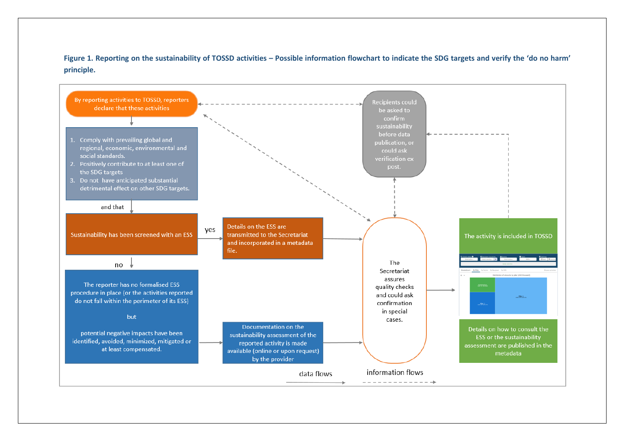**Figure 1. Reporting on the sustainability of TOSSD activities – Possible information flowchart to indicate the SDG targets and verify the 'do no harm' principle.**